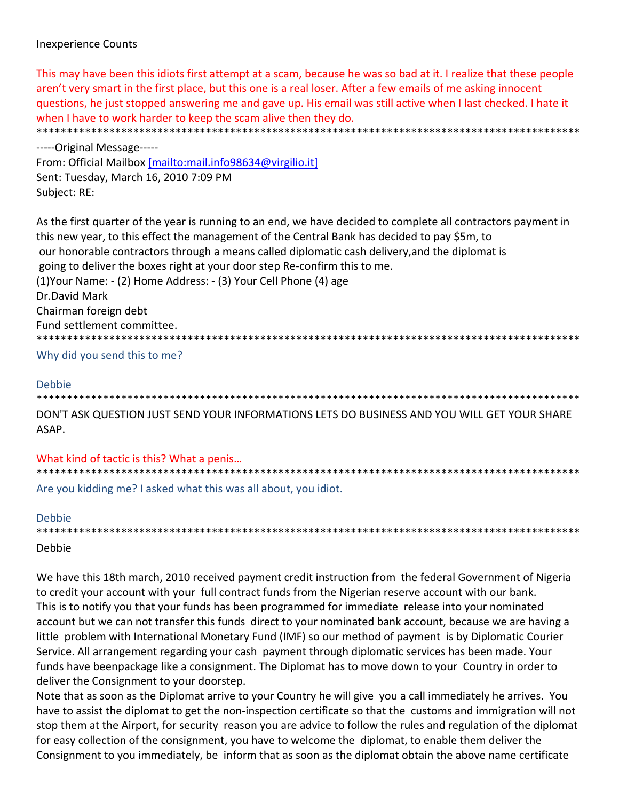# **Inexperience Counts**

This may have been this idiots first attempt at a scam, because he was so bad at it. I realize that these people aren't very smart in the first place, but this one is a real loser. After a few emails of me asking innocent guestions, he just stopped answering me and gave up. His email was still active when I last checked. I hate it when I have to work harder to keep the scam alive then they do. \*\*\*\*\*\*\*\*\*\*\*\*\*\*\*\*\*\*\*\*\*\*\*\*\*\*\*\*\*\*\*\*\*\*\*\*\*\* 

-----Original Message-----From: Official Mailbox [mailto:mail.info98634@virgilio.it] Sent: Tuesday, March 16, 2010 7:09 PM Subject: RE:

As the first quarter of the year is running to an end, we have decided to complete all contractors payment in this new year, to this effect the management of the Central Bank has decided to pay \$5m, to our honorable contractors through a means called diplomatic cash delivery, and the diplomat is going to deliver the boxes right at your door step Re-confirm this to me. (1) Your Name: - (2) Home Address: - (3) Your Cell Phone (4) age Dr.David Mark Chairman foreign debt Fund settlement committee. \*\*\*\*\*\*\*\*\*\*\*\*\*\*\*\*\*\*\*\*\*\* 

Why did you send this to me?

## **Debbie**

DON'T ASK QUESTION JUST SEND YOUR INFORMATIONS LETS DO BUSINESS AND YOU WILL GET YOUR SHARE ASAP.

What kind of tactic is this? What a penis... Are you kidding me? I asked what this was all about, you idiot.

#### **Debbie**

## Debbie

We have this 18th march, 2010 received payment credit instruction from the federal Government of Nigeria to credit your account with your full contract funds from the Nigerian reserve account with our bank. This is to notify you that your funds has been programmed for immediate release into your nominated account but we can not transfer this funds direct to your nominated bank account, because we are having a little problem with International Monetary Fund (IMF) so our method of payment is by Diplomatic Courier Service. All arrangement regarding your cash payment through diplomatic services has been made. Your funds have beenpackage like a consignment. The Diplomat has to move down to your Country in order to deliver the Consignment to your doorstep.

Note that as soon as the Diplomat arrive to your Country he will give you a call immediately he arrives. You have to assist the diplomat to get the non-inspection certificate so that the customs and immigration will not stop them at the Airport, for security reason you are advice to follow the rules and regulation of the diplomat for easy collection of the consignment, you have to welcome the diplomat, to enable them deliver the Consignment to you immediately, be inform that as soon as the diplomat obtain the above name certificate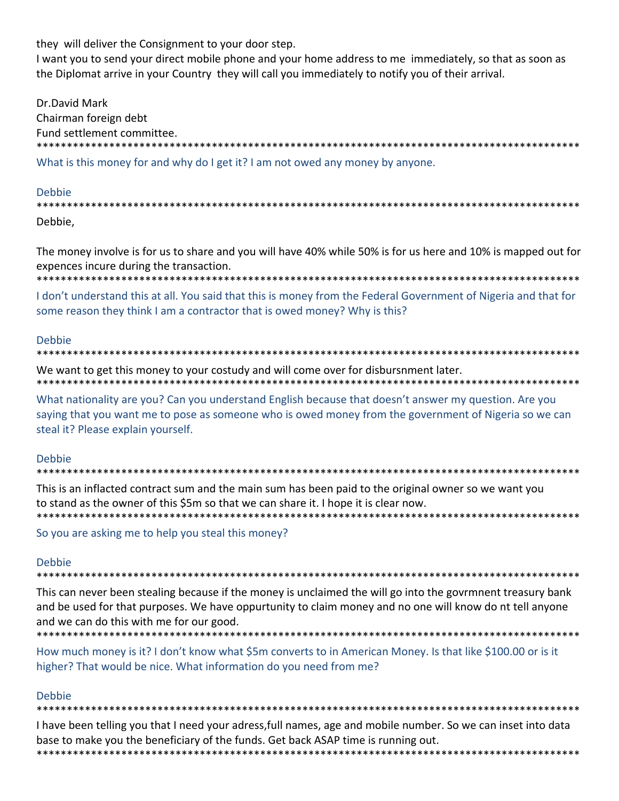they will deliver the Consignment to your door step.

I want you to send your direct mobile phone and your home address to me immediately, so that as soon as the Diplomat arrive in your Country they will call you immediately to notify you of their arrival.

Dr.David Mark Chairman foreign debt Fund settlement committee. What is this money for and why do I get it? I am not owed any money by anyone.

#### Debbie

Debbie,

The money involve is for us to share and you will have 40% while 50% is for us here and 10% is mapped out for expences incure during the transaction.

I don't understand this at all. You said that this is money from the Federal Government of Nigeria and that for some reason they think I am a contractor that is owed money? Why is this?

#### **Debbie**

#### \*\*\*\*\*\*\*\*\*\*\*\*

We want to get this money to your costudy and will come over for disbursnment later.

What nationality are you? Can you understand English because that doesn't answer my question. Are you saying that you want me to pose as someone who is owed money from the government of Nigeria so we can steal it? Please explain yourself.

## Debbie

This is an inflacted contract sum and the main sum has been paid to the original owner so we want you to stand as the owner of this \$5m so that we can share it. I hope it is clear now. \*\*\*\*\*\*\*\*\*\*\*\*\*\*\*\*\*\*\*\*\*\*\*\*\*\*

So you are asking me to help you steal this money?

## **Debbie**

#### 

This can never been stealing because if the money is unclaimed the will go into the govrmnent treasury bank and be used for that purposes. We have oppurtunity to claim money and no one will know do nt tell anyone and we can do this with me for our good.

How much money is it? I don't know what \$5m converts to in American Money. Is that like \$100.00 or is it higher? That would be nice. What information do you need from me?

## Debbie

# 

I have been telling you that I need your adress, full names, age and mobile number. So we can inset into data base to make you the beneficiary of the funds. Get back ASAP time is running out. 

\*\*\*\*\*\*\*\*\*\*\*\*\*\*\*\*\*\*\*\*\*\*\*\*